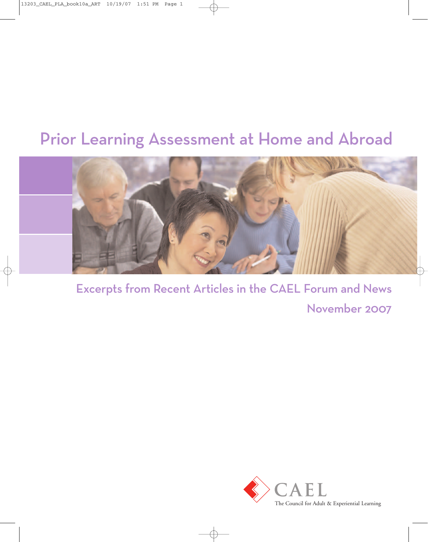# Prior Learning Assessment at Home and Abroad



Excerpts from Recent Articles in the CAEL Forum and News November 2007

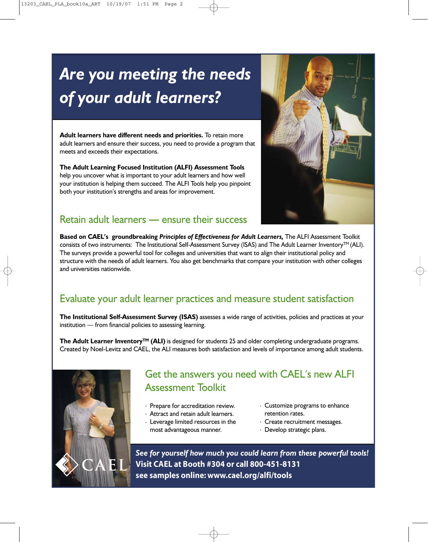# *Are you meeting the needs of your adult learners?*

**Adult learners have different needs and priorities.** To retain more adult learners and ensure their success, you need to provide a program that meets and exceeds their expectations.

**The Adult Learning Focused Institution (ALFI) Assessment Tools** help you uncover what is important to your adult learners and how well your institution is helping them succeed. The ALFI Tools help you pinpoint both your institution's strengths and areas for improvement.

### Retain adult learners **—** ensure their success



**Based on CAEL's groundbreaking** *Principles of Effectiveness for Adult Learners,* The ALFI Assessment Toolkit consists of two instruments: The Institutional Self-Assessment Survey (ISAS) and The Adult Learner Inventory™ (ALI). The surveys provide a powerful tool for colleges and universities that want to align their institutional policy and structure with the needs of adult learners. You also get benchmarks that compare your institution with other colleges and universities nationwide.

### Evaluate your adult learner practices and measure student satisfaction

**The Institutional Self-Assessment Survey (ISAS)** assesses a wide range of activities, policies and practices at your institution — from financial policies to assessing learning.

**The Adult Learner InventoryTM (ALI)** is designed for students 25 and older completing undergraduate programs. Created by Noel-Levitz and CAEL, the ALI measures both satisfaction and levels of importance among adult students.



### Get the answers you need with CAEL's new ALFI Assessment Toolkit

- . Prepare for accreditation review.
- . Attract and retain adult learners.
- . Leverage limited resources in the most advantageous manner.
- . Customize programs to enhance retention rates.
- . Create recruitment messages.
- . Develop strategic plans.

*See for yourself how much you could learn from these powerful tools!* **Visit CAEL at Booth #304 or call 800-451-8131 see samples online: www.cael.org/alfi/tools**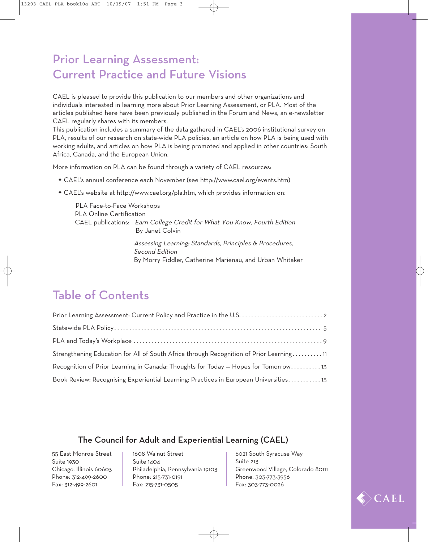### Prior Learning Assessment: Current Practice and Future Visions

CAEL is pleased to provide this publication to our members and other organizations and individuals interested in learning more about Prior Learning Assessment, or PLA. Most of the articles published here have been previously published in the Forum and News, an e-newsletter CAEL regularly shares with its members.

This publication includes a summary of the data gathered in CAEL's 2006 institutional survey on PLA, results of our research on state-wide PLA policies, an article on how PLA is being used with working adults, and articles on how PLA is being promoted and applied in other countries: South Africa, Canada, and the European Union.

More information on PLA can be found through a variety of CAEL resources:

- w CAEL's annual conference each November (see http://www.cael.org/events.htm)
- CAEL's website at http://www.cael.org/pla.htm, which provides information on:

PLA Face-to-Face Workshops PLA Online Certification CAEL publications: Earn College Credit for What You Know, Fourth Edition By Janet Colvin

> Assessing Learning: Standards, Principles & Procedures, Second Edition By Morry Fiddler, Catherine Marienau, and Urban Whitaker

### Table of Contents

| Strengthening Education for All of South Africa through Recognition of Prior Learning11 |
|-----------------------------------------------------------------------------------------|
| Recognition of Prior Learning in Canada: Thoughts for Today - Hopes for Tomorrow13      |
| Book Review: Recognising Experiential Learning: Practices in European Universities 15   |

#### The Council for Adult and Experiential Learning (CAEL)

55 East Monroe Street Suite 1930 Chicago, Illinois 60603 Phone: 312-499-2600 Fax: 312-499-2601

1608 Walnut Street Suite 1404 Philadelphia, Pennsylvania 19103 Phone: 215-731-0191 Fax: 215-731-0505

6021 South Syracuse Way Suite 213 Greenwood Village, Colorado 80111 Phone: 303-773-3956 Fax: 303-773-0026

CAEL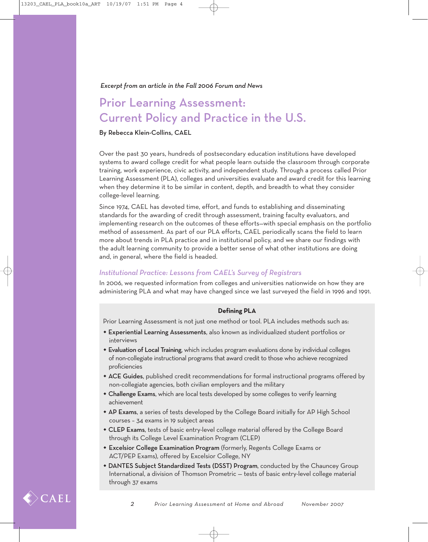## Prior Learning Assessment: Current Policy and Practice in the U.S.

#### By Rebecca Klein-Collins, CAEL

Over the past 30 years, hundreds of postsecondary education institutions have developed systems to award college credit for what people learn outside the classroom through corporate training, work experience, civic activity, and independent study. Through a process called Prior Learning Assessment (PLA), colleges and universities evaluate and award credit for this learning when they determine it to be similar in content, depth, and breadth to what they consider college-level learning.

Since 1974, CAEL has devoted time, effort, and funds to establishing and disseminating standards for the awarding of credit through assessment, training faculty evaluators, and implementing research on the outcomes of these efforts—with special emphasis on the portfolio method of assessment. As part of our PLA efforts, CAEL periodically scans the field to learn more about trends in PLA practice and in institutional policy, and we share our findings with the adult learning community to provide a better sense of what other institutions are doing and, in general, where the field is headed.

#### *Institutional Practice: Lessons from CAEL's Survey of Registrars*

In 2006, we requested information from colleges and universities nationwide on how they are administering PLA and what may have changed since we last surveyed the field in 1996 and 1991.

#### **Defining PLA**

Prior Learning Assessment is not just one method or tool. PLA includes methods such as:

- **\* Experiential Learning Assessments**, also known as individualized student portfolios or interviews
- Evaluation of Local Training, which includes program evaluations done by individual colleges of non-collegiate instructional programs that award credit to those who achieve recognized proficiencies
- \* ACE Guides, published credit recommendations for formal instructional programs offered by non-collegiate agencies, both civilian employers and the military
- Challenge Exams, which are local tests developed by some colleges to verify learning achievement
- \* AP Exams, a series of tests developed by the College Board initially for AP High School courses – 34 exams in 19 subject areas
- CLEP Exams, tests of basic entry-level college material offered by the College Board through its College Level Examination Program (CLEP)
- **\* Excelsior College Examination Program** (formerly, Regents College Exams or ACT/PEP Exams), offered by Excelsior College, NY
- DANTES Subject Standardized Tests (DSST) Program, conducted by the Chauncey Group International, a division of Thomson Prometric — tests of basic entry-level college material through 37 exams

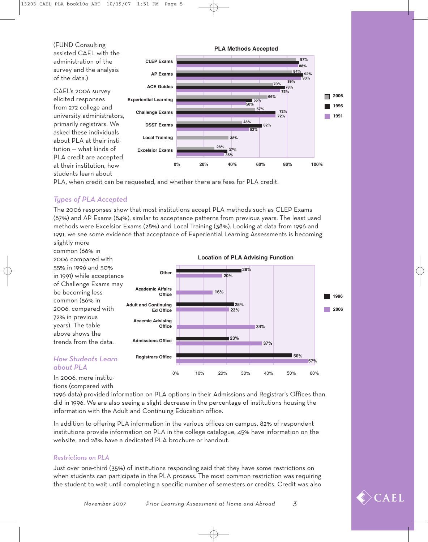

PLA, when credit can be requested, and whether there are fees for PLA credit.

#### *Types of PLA Accepted*

The 2006 responses show that most institutions accept PLA methods such as CLEP Exams (87%) and AP Exams (84%), similar to acceptance patterns from previous years. The least used methods were Excelsior Exams (28%) and Local Training (38%). Looking at data from 1996 and 1991, we see some evidence that acceptance of Experiential Learning Assessments is becoming slightly more

common (66% in 2006 compared with 55% in 1996 and 50% in 1991) while acceptance of Challenge Exams may be becoming less common (56% in 2006, compared with 72% in previous years). The table above shows the trends from the data. *How Students Learn* In 2006, more institu-**1996 2006** 0% 10% 20% 30% 40% 50% 60% **Location of PLA Advising Function Other Academic Affairs Office Adult and Continuing Ed Office Acaemic Advising Office Admissions Office Registrars Office 28% 20% 16% 25% 23% 34% 23% 37% 50% 57%**

## *about PLA*

tions (compared with

1996 data) provided information on PLA options in their Admissions and Registrar's Offices than did in 1996. We are also seeing a slight decrease in the percentage of institutions housing the information with the Adult and Continuing Education office.

In addition to offering PLA information in the various offices on campus, 82% of respondent institutions provide information on PLA in the college catalogue, 45% have information on the website, and 28% have a dedicated PLA brochure or handout.

#### *Restrictions on PLA*

Just over one-third (35%) of institutions responding said that they have some restrictions on when students can participate in the PLA process. The most common restriction was requiring the student to wait until completing a specific number of semesters or credits. Credit was also

*November 2007 Prior Learning Assessment at Home and Abroad 3*

 $\angle$ CAEL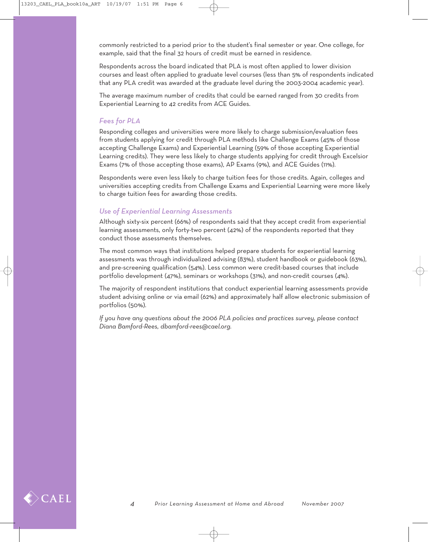commonly restricted to a period prior to the student's final semester or year. One college, for example, said that the final 32 hours of credit must be earned in residence.

Respondents across the board indicated that PLA is most often applied to lower division courses and least often applied to graduate level courses (less than 5% of respondents indicated that any PLA credit was awarded at the graduate level during the 2003-2004 academic year).

The average maximum number of credits that could be earned ranged from 30 credits from Experiential Learning to 42 credits from ACE Guides.

#### *Fees for PLA*

Responding colleges and universities were more likely to charge submission/evaluation fees from students applying for credit through PLA methods like Challenge Exams (45% of those accepting Challenge Exams) and Experiential Learning (59% of those accepting Experiential Learning credits). They were less likely to charge students applying for credit through Excelsior Exams (7% of those accepting those exams), AP Exams (9%), and ACE Guides (11%).

Respondents were even less likely to charge tuition fees for those credits. Again, colleges and universities accepting credits from Challenge Exams and Experiential Learning were more likely to charge tuition fees for awarding those credits.

#### *Use of Experiential Learning Assessments*

Although sixty-six percent (66%) of respondents said that they accept credit from experiential learning assessments, only forty-two percent (42%) of the respondents reported that they conduct those assessments themselves.

The most common ways that institutions helped prepare students for experiential learning assessments was through individualized advising (83%), student handbook or guidebook (63%), and pre-screening qualification (54%). Less common were credit-based courses that include portfolio development (47%), seminars or workshops (31%), and non-credit courses (4%).

The majority of respondent institutions that conduct experiential learning assessments provide student advising online or via email (62%) and approximately half allow electronic submission of portfolios (50%).

*If you have any questions about the 2006 PLA policies and practices survey, please contact Diana Bamford-Rees, dbamford-rees@cael.org.* 

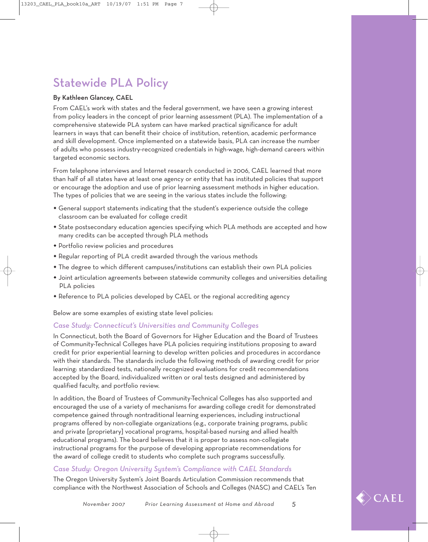## Statewide PLA Policy

#### By Kathleen Glancey, CAEL

From CAEL's work with states and the federal government, we have seen a growing interest from policy leaders in the concept of prior learning assessment (PLA). The implementation of a comprehensive statewide PLA system can have marked practical significance for adult learners in ways that can benefit their choice of institution, retention, academic performance and skill development. Once implemented on a statewide basis, PLA can increase the number of adults who possess industry-recognized credentials in high-wage, high-demand careers within targeted economic sectors.

From telephone interviews and Internet research conducted in 2006, CAEL learned that more than half of all states have at least one agency or entity that has instituted policies that support or encourage the adoption and use of prior learning assessment methods in higher education. The types of policies that we are seeing in the various states include the following:

- w General support statements indicating that the student's experience outside the college classroom can be evaluated for college credit
- State postsecondary education agencies specifying which PLA methods are accepted and how many credits can be accepted through PLA methods
- \* Portfolio review policies and procedures
- Regular reporting of PLA credit awarded through the various methods
- \* The degree to which different campuses/institutions can establish their own PLA policies
- $\bullet$  Joint articulation agreements between statewide community colleges and universities detailing PLA policies
- Reference to PLA policies developed by CAEL or the regional accrediting agency

Below are some examples of existing state level policies:

#### *Case Study: Connecticut's Universities and Community Colleges*

In Connecticut, both the Board of Governors for Higher Education and the Board of Trustees of Community-Technical Colleges have PLA policies requiring institutions proposing to award credit for prior experiential learning to develop written policies and procedures in accordance with their standards. The standards include the following methods of awarding credit for prior learning: standardized tests, nationally recognized evaluations for credit recommendations accepted by the Board, individualized written or oral tests designed and administered by qualified faculty, and portfolio review.

In addition, the Board of Trustees of Community-Technical Colleges has also supported and encouraged the use of a variety of mechanisms for awarding college credit for demonstrated competence gained through nontraditional learning experiences, including instructional programs offered by non-collegiate organizations (e.g., corporate training programs, public and private [proprietary] vocational programs, hospital-based nursing and allied health educational programs). The board believes that it is proper to assess non-collegiate instructional programs for the purpose of developing appropriate recommendations for the award of college credit to students who complete such programs successfully.

#### *Case Study: Oregon University System's Compliance with CAEL Standards*

The Oregon University System's Joint Boards Articulation Commission recommends that compliance with the Northwest Association of Schools and Colleges (NASC) and CAEL's Ten

 $\langle \rangle$  CAEL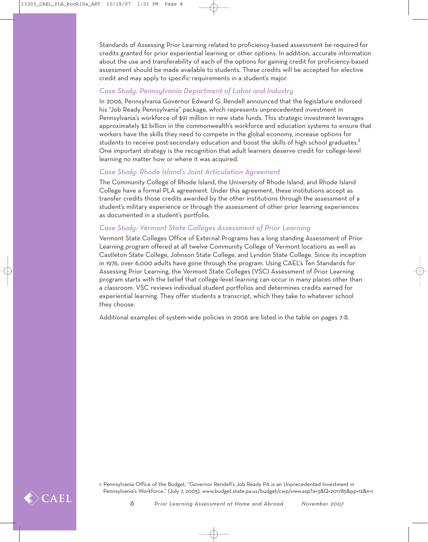Standards of Assessing Prior Learning related to proficiency-based assessment be required for credits granted for prior experiential learning or other options. In addition, accurate information about the use and transferability of each of the options for gaining credit for proficiency-based assessment should be made available to students. These credits will be accepted for elective credit and may apply to specific requirements in a student's major.

#### *Case Study: Pennsylvania Department of Labor and Industry*

In 2006, Pennsylvania Governor Edward G. Rendell announced that the legislature endorsed his "Job Ready Pennsylvania" package, which represents unprecedented investment in Pennsylvania's workforce of \$91 million in new state funds. This strategic investment leverages approximately \$2 billion in the commonwealth's workforce and education systems to ensure that workers have the skills they need to compete in the global economy, increase options for students to receive post-secondary education and boost the skills of high school graduates.<sup>1</sup> One important strategy is the recognition that adult learners deserve credit for college-level learning no matter how or where it was acquired.

#### *Case Study: Rhode Island's Joint Articulation Agreement*

The Community College of Rhode Island, the University of Rhode Island, and Rhode Island College have a formal PLA agreement. Under this agreement, these institutions accept as transfer credits those credits awarded by the other institutions through the assessment of a student's military experience or through the assessment of other prior learning experiences as documented in a student's portfolio.

#### *Case Study: Vermont State Colleges Assessment of Prior Learning*

Vermont State Colleges Office of External Programs has a long standing Assessment of Prior Learning program offered at all twelve Community College of Vermont locations as well as Castleton State College, Johnson State College, and Lyndon State College. Since its inception in 1976, over 6,000 adults have gone through the program. Using CAEL's Ten Standards for Assessing Prior Learning, the Vermont State Colleges (VSC) Assessment of Prior Learning program starts with the belief that college-level learning can occur in many places other than a classroom. VSC reviews individual student portfolios and determines credits earned for experiential learning. They offer students a transcript, which they take to whatever school they choose.

Additional examples of system-wide policies in 2006 are listed in the table on pages 7-8.

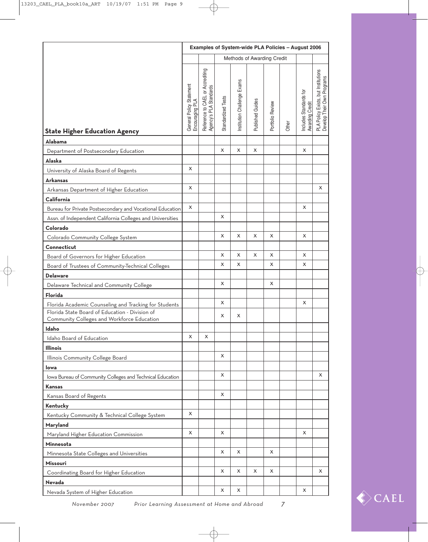|                                                                                              | Examples of System-wide PLA Policies - August 2006 |                                                            |                    |                             |                         |                  |       |                                                  |                                                                   |  |
|----------------------------------------------------------------------------------------------|----------------------------------------------------|------------------------------------------------------------|--------------------|-----------------------------|-------------------------|------------------|-------|--------------------------------------------------|-------------------------------------------------------------------|--|
|                                                                                              |                                                    | Methods of Awarding Credit                                 |                    |                             |                         |                  |       |                                                  |                                                                   |  |
| <b>State Higher Education Agency</b>                                                         | General Policy Statement<br>Encouraging PLA        | Reference to CAEL or Accrediting<br>Agency's PLA Standards | Standardized Tests | Institution Challenge Exams | <b>Published Guides</b> | Portfolio Review | Other | Includes Standards for<br><b>Awarding Credit</b> | PLA Policy Exists, but Institutions<br>Develop Their Own Programs |  |
| <b>Alabama</b>                                                                               |                                                    |                                                            |                    |                             |                         |                  |       |                                                  |                                                                   |  |
| Department of Postsecondary Education                                                        |                                                    |                                                            | X                  | $\pmb{\times}$              | $\pmb{\times}$          |                  |       | X                                                |                                                                   |  |
| <b>Alaska</b>                                                                                |                                                    |                                                            |                    |                             |                         |                  |       |                                                  |                                                                   |  |
| University of Alaska Board of Regents                                                        | X                                                  |                                                            |                    |                             |                         |                  |       |                                                  |                                                                   |  |
| <b>Arkansas</b>                                                                              |                                                    |                                                            |                    |                             |                         |                  |       |                                                  |                                                                   |  |
| Arkansas Department of Higher Education                                                      | X                                                  |                                                            |                    |                             |                         |                  |       |                                                  | X                                                                 |  |
| California                                                                                   |                                                    |                                                            |                    |                             |                         |                  |       |                                                  |                                                                   |  |
| Bureau for Private Postsecondary and Vocational Education                                    | X                                                  |                                                            | X                  |                             |                         |                  |       | X                                                |                                                                   |  |
| Assn. of Independent California Colleges and Universities                                    |                                                    |                                                            |                    |                             |                         |                  |       |                                                  |                                                                   |  |
| Colorado                                                                                     |                                                    |                                                            | X                  | X                           | X                       | X                |       | X                                                |                                                                   |  |
| Colorado Community College System                                                            |                                                    |                                                            |                    |                             |                         |                  |       |                                                  |                                                                   |  |
| Connecticut                                                                                  |                                                    |                                                            | X                  | X                           | X                       | X                |       | X                                                |                                                                   |  |
| Board of Governors for Higher Education                                                      |                                                    |                                                            | X                  | X                           |                         | X                |       | X                                                |                                                                   |  |
| Board of Trustees of Community-Technical Colleges<br><b>Delaware</b>                         |                                                    |                                                            |                    |                             |                         |                  |       |                                                  |                                                                   |  |
| Delaware Technical and Community College                                                     |                                                    |                                                            | X                  |                             |                         | X                |       |                                                  |                                                                   |  |
| Florida                                                                                      |                                                    |                                                            |                    |                             |                         |                  |       |                                                  |                                                                   |  |
| Florida Academic Counseling and Tracking for Students                                        |                                                    |                                                            | X                  |                             |                         |                  |       | X                                                |                                                                   |  |
| Florida State Board of Education - Division of<br>Community Colleges and Workforce Education |                                                    |                                                            | х                  | x                           |                         |                  |       |                                                  |                                                                   |  |
| Idaho                                                                                        |                                                    |                                                            |                    |                             |                         |                  |       |                                                  |                                                                   |  |
| Idaho Board of Education                                                                     | X                                                  | X                                                          |                    |                             |                         |                  |       |                                                  |                                                                   |  |
| <b>Illinois</b>                                                                              |                                                    |                                                            |                    |                             |                         |                  |       |                                                  |                                                                   |  |
| Illinois Community College Board                                                             |                                                    |                                                            | X                  |                             |                         |                  |       |                                                  |                                                                   |  |
| lowa                                                                                         |                                                    |                                                            |                    |                             |                         |                  |       |                                                  |                                                                   |  |
| Iowa Bureau of Community Colleges and Technical Education                                    |                                                    |                                                            | X                  |                             |                         |                  |       |                                                  | X                                                                 |  |
| Kansas                                                                                       |                                                    |                                                            |                    |                             |                         |                  |       |                                                  |                                                                   |  |
| Kansas Board of Regents                                                                      |                                                    |                                                            | X                  |                             |                         |                  |       |                                                  |                                                                   |  |
| Kentucky                                                                                     |                                                    |                                                            |                    |                             |                         |                  |       |                                                  |                                                                   |  |
| Kentucky Community & Technical College System                                                | X                                                  |                                                            |                    |                             |                         |                  |       |                                                  |                                                                   |  |
| Maryland                                                                                     |                                                    |                                                            |                    |                             |                         |                  |       |                                                  |                                                                   |  |
| Maryland Higher Education Commission                                                         | X                                                  |                                                            | X                  |                             |                         |                  |       | X                                                |                                                                   |  |
| Minnesota                                                                                    |                                                    |                                                            | X                  | X                           |                         | X                |       |                                                  |                                                                   |  |
| Minnesota State Colleges and Universities                                                    |                                                    |                                                            |                    |                             |                         |                  |       |                                                  |                                                                   |  |
| Missouri                                                                                     |                                                    |                                                            | X                  | X                           | X                       | X                |       |                                                  | X                                                                 |  |
| Coordinating Board for Higher Education                                                      |                                                    |                                                            |                    |                             |                         |                  |       |                                                  |                                                                   |  |
| Nevada                                                                                       |                                                    |                                                            | х                  | х                           |                         |                  |       | х                                                |                                                                   |  |
| Nevada System of Higher Education                                                            |                                                    |                                                            |                    |                             |                         |                  |       |                                                  |                                                                   |  |

₩



*November 2007 Prior Learning Assessment at Home and Abroad 7*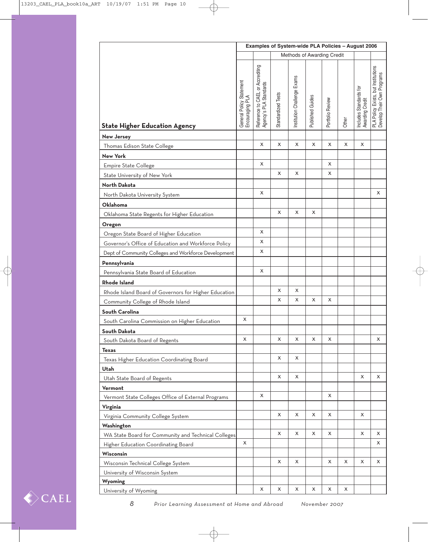|                                                      | Examples of System-wide PLA Policies - August 2006 |                                                            |                    |                             |                  |                  |       |                                           |                                                                   |  |
|------------------------------------------------------|----------------------------------------------------|------------------------------------------------------------|--------------------|-----------------------------|------------------|------------------|-------|-------------------------------------------|-------------------------------------------------------------------|--|
|                                                      | Methods of Awarding Credit                         |                                                            |                    |                             |                  |                  |       |                                           |                                                                   |  |
| <b>State Higher Education Agency</b>                 | General Policy Statement<br>Encouraging PLA        | Reference to CAEL or Accrediting<br>Agency's PLA Standards | Standardized Tests | Institution Challenge Exams | Published Guides | Portfolio Review | Other | Includes Standards for<br>Awarding Credit | PLA Policy Exists, but Institutions<br>Develop Their Own Programs |  |
| <b>New Jersey</b>                                    |                                                    |                                                            |                    |                             |                  |                  |       |                                           |                                                                   |  |
| Thomas Edison State College                          |                                                    | X                                                          | X                  | X                           | X                | X                | X     | X                                         |                                                                   |  |
| <b>New York</b>                                      |                                                    |                                                            |                    |                             |                  |                  |       |                                           |                                                                   |  |
| <b>Empire State College</b>                          |                                                    | х                                                          |                    |                             |                  | X                |       |                                           |                                                                   |  |
| State University of New York                         |                                                    |                                                            | X                  | х                           |                  | х                |       |                                           |                                                                   |  |
| North Dakota                                         |                                                    |                                                            |                    |                             |                  |                  |       |                                           |                                                                   |  |
| North Dakota University System                       |                                                    | X                                                          |                    |                             |                  |                  |       |                                           | X                                                                 |  |
| Oklahoma                                             |                                                    |                                                            |                    |                             |                  |                  |       |                                           |                                                                   |  |
| Oklahoma State Regents for Higher Education          |                                                    |                                                            | X                  | X                           | X                |                  |       |                                           |                                                                   |  |
| Oregon                                               |                                                    |                                                            |                    |                             |                  |                  |       |                                           |                                                                   |  |
| Oregon State Board of Higher Education               |                                                    | X                                                          |                    |                             |                  |                  |       |                                           |                                                                   |  |
| Governor's Office of Education and Workforce Policy  |                                                    | X                                                          |                    |                             |                  |                  |       |                                           |                                                                   |  |
| Dept of Community Colleges and Workforce Development |                                                    | X                                                          |                    |                             |                  |                  |       |                                           |                                                                   |  |
| Pennsylvania                                         |                                                    |                                                            |                    |                             |                  |                  |       |                                           |                                                                   |  |
| Pennsylvania State Board of Education                |                                                    | х                                                          |                    |                             |                  |                  |       |                                           |                                                                   |  |
| <b>Rhode Island</b>                                  |                                                    |                                                            |                    |                             |                  |                  |       |                                           |                                                                   |  |
| Rhode Island Board of Governors for Higher Education |                                                    |                                                            | X                  | X                           |                  |                  |       |                                           |                                                                   |  |
| Community College of Rhode Island                    |                                                    |                                                            | X                  | X                           | X                | х                |       |                                           |                                                                   |  |
| South Carolina                                       |                                                    |                                                            |                    |                             |                  |                  |       |                                           |                                                                   |  |
| South Carolina Commission on Higher Education        | X                                                  |                                                            |                    |                             |                  |                  |       |                                           |                                                                   |  |
| South Dakota                                         |                                                    |                                                            |                    |                             |                  |                  |       |                                           |                                                                   |  |
| South Dakota Board of Regents                        | X                                                  |                                                            | X                  | X                           | X                | X                |       |                                           | X                                                                 |  |
| <b>Texas</b>                                         |                                                    |                                                            |                    |                             |                  |                  |       |                                           |                                                                   |  |
| Texas Higher Education Coordinating Board            |                                                    |                                                            | X                  | X                           |                  |                  |       |                                           |                                                                   |  |
| Utah                                                 |                                                    |                                                            |                    |                             |                  |                  |       |                                           |                                                                   |  |
| Utah State Board of Regents                          |                                                    |                                                            | X                  | X                           |                  |                  |       | X                                         | X                                                                 |  |
| Vermont                                              |                                                    |                                                            |                    |                             |                  |                  |       |                                           |                                                                   |  |
| Vermont State Colleges Office of External Programs   |                                                    | X                                                          |                    |                             |                  | X                |       |                                           |                                                                   |  |
| Virginia                                             |                                                    |                                                            |                    |                             |                  |                  |       |                                           |                                                                   |  |
| Virginia Community College System                    |                                                    |                                                            | X                  | X                           | X                | X                |       | $\mathsf{x}$                              |                                                                   |  |
| Washington                                           |                                                    |                                                            |                    |                             |                  |                  |       |                                           |                                                                   |  |
| WA State Board for Community and Technical Colleges  |                                                    |                                                            | X                  | X                           | X                | X                |       | X                                         | X                                                                 |  |
| Higher Education Coordinating Board                  | X                                                  |                                                            |                    |                             |                  |                  |       |                                           | х                                                                 |  |
| <b>Wisconsin</b>                                     |                                                    |                                                            |                    |                             |                  |                  |       |                                           |                                                                   |  |
| Wisconsin Technical College System                   |                                                    |                                                            | X                  | X                           |                  | X                | X     | X                                         | X                                                                 |  |
| University of Wisconsin System                       |                                                    |                                                            |                    |                             |                  |                  |       |                                           |                                                                   |  |
| Wyoming                                              |                                                    |                                                            |                    |                             |                  |                  |       |                                           |                                                                   |  |
| University of Wyoming                                |                                                    | х                                                          | х                  | х                           | х                | х                | х     |                                           |                                                                   |  |

₩

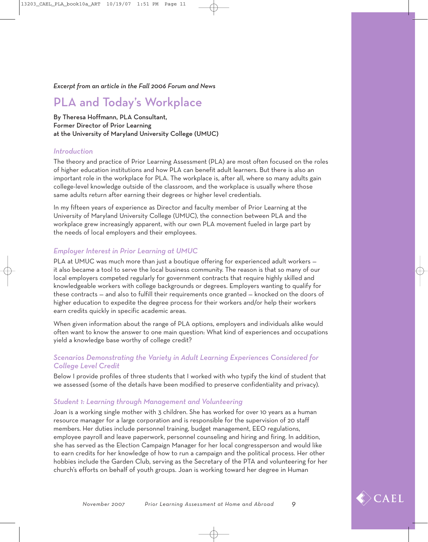### PLA and Today's Workplace

By Theresa Hoffmann, PLA Consultant, Former Director of Prior Learning at the University of Maryland University College (UMUC)

#### *Introduction*

The theory and practice of Prior Learning Assessment (PLA) are most often focused on the roles of higher education institutions and how PLA can benefit adult learners. But there is also an important role in the workplace for PLA. The workplace is, after all, where so many adults gain college-level knowledge outside of the classroom, and the workplace is usually where those same adults return after earning their degrees or higher level credentials.

In my fifteen years of experience as Director and faculty member of Prior Learning at the University of Maryland University College (UMUC), the connection between PLA and the workplace grew increasingly apparent, with our own PLA movement fueled in large part by the needs of local employers and their employees.

#### *Employer Interest in Prior Learning at UMUC*

PLA at UMUC was much more than just a boutique offering for experienced adult workers it also became a tool to serve the local business community. The reason is that so many of our local employers competed regularly for government contracts that require highly skilled and knowledgeable workers with college backgrounds or degrees. Employers wanting to qualify for these contracts — and also to fulfill their requirements once granted — knocked on the doors of higher education to expedite the degree process for their workers and/or help their workers earn credits quickly in specific academic areas.

When given information about the range of PLA options, employers and individuals alike would often want to know the answer to one main question: What kind of experiences and occupations yield a knowledge base worthy of college credit?

#### *Scenarios Demonstrating the Variety in Adult Learning Experiences Considered for College Level Credit*

Below I provide profiles of three students that I worked with who typify the kind of student that we assessed (some of the details have been modified to preserve confidentiality and privacy).

#### *Student 1: Learning through Management and Volunteering*

Joan is a working single mother with 3 children. She has worked for over 10 years as a human resource manager for a large corporation and is responsible for the supervision of 20 staff members. Her duties include personnel training, budget management, EEO regulations, employee payroll and leave paperwork, personnel counseling and hiring and firing. In addition, she has served as the Election Campaign Manager for her local congressperson and would like to earn credits for her knowledge of how to run a campaign and the political process. Her other hobbies include the Garden Club, serving as the Secretary of the PTA and volunteering for her church's efforts on behalf of youth groups. Joan is working toward her degree in Human

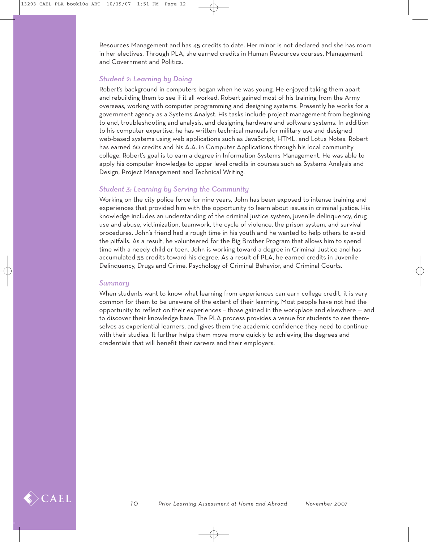Resources Management and has 45 credits to date. Her minor is not declared and she has room in her electives. Through PLA, she earned credits in Human Resources courses, Management and Government and Politics.

#### *Student 2: Learning by Doing*

Robert's background in computers began when he was young. He enjoyed taking them apart and rebuilding them to see if it all worked. Robert gained most of his training from the Army overseas, working with computer programming and designing systems. Presently he works for a government agency as a Systems Analyst. His tasks include project management from beginning to end, troubleshooting and analysis, and designing hardware and software systems. In addition to his computer expertise, he has written technical manuals for military use and designed web-based systems using web applications such as JavaScript, HTML, and Lotus Notes. Robert has earned 60 credits and his A.A. in Computer Applications through his local community college. Robert's goal is to earn a degree in Information Systems Management. He was able to apply his computer knowledge to upper level credits in courses such as Systems Analysis and Design, Project Management and Technical Writing.

#### *Student 3: Learning by Serving the Community*

Working on the city police force for nine years, John has been exposed to intense training and experiences that provided him with the opportunity to learn about issues in criminal justice. His knowledge includes an understanding of the criminal justice system, juvenile delinquency, drug use and abuse, victimization, teamwork, the cycle of violence, the prison system, and survival procedures. John's friend had a rough time in his youth and he wanted to help others to avoid the pitfalls. As a result, he volunteered for the Big Brother Program that allows him to spend time with a needy child or teen. John is working toward a degree in Criminal Justice and has accumulated 55 credits toward his degree. As a result of PLA, he earned credits in Juvenile Delinquency, Drugs and Crime, Psychology of Criminal Behavior, and Criminal Courts.

#### *Summary*

When students want to know what learning from experiences can earn college credit, it is very common for them to be unaware of the extent of their learning. Most people have not had the opportunity to reflect on their experiences – those gained in the workplace and elsewhere — and to discover their knowledge base. The PLA process provides a venue for students to see themselves as experiential learners, and gives them the academic confidence they need to continue with their studies. It further helps them move more quickly to achieving the degrees and credentials that will benefit their careers and their employers.

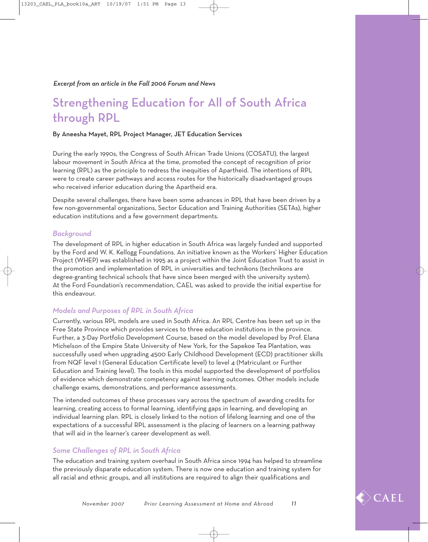## Strengthening Education for All of South Africa through RPL

#### By Aneesha Mayet, RPL Project Manager, JET Education Services

During the early 1990s, the Congress of South African Trade Unions (COSATU), the largest labour movement in South Africa at the time, promoted the concept of recognition of prior learning (RPL) as the principle to redress the inequities of Apartheid. The intentions of RPL were to create career pathways and access routes for the historically disadvantaged groups who received inferior education during the Apartheid era.

Despite several challenges, there have been some advances in RPL that have been driven by a few non-governmental organizations, Sector Education and Training Authorities (SETAs), higher education institutions and a few government departments.

#### *Background*

The development of RPL in higher education in South Africa was largely funded and supported by the Ford and W. K. Kellogg Foundations. An initiative known as the Workers' Higher Education Project (WHEP) was established in 1995 as a project within the Joint Education Trust to assist in the promotion and implementation of RPL in universities and technikons (technikons are degree-granting technical schools that have since been merged with the university system). At the Ford Foundation's recommendation, CAEL was asked to provide the initial expertise for this endeavour.

#### *Models and Purposes of RPL in South Africa*

Currently, various RPL models are used in South Africa. An RPL Centre has been set up in the Free State Province which provides services to three education institutions in the province. Further, a 3-Day Portfolio Development Course, based on the model developed by Prof. Elana Michelson of the Empire State University of New York, for the Sapekoe Tea Plantation, was successfully used when upgrading 4500 Early Childhood Development (ECD) practitioner skills from NQF level 1 (General Education Certificate level) to level 4 (Matriculant or Further Education and Training level). The tools in this model supported the development of portfolios of evidence which demonstrate competency against learning outcomes. Other models include challenge exams, demonstrations, and performance assessments.

The intended outcomes of these processes vary across the spectrum of awarding credits for learning, creating access to formal learning, identifying gaps in learning, and developing an individual learning plan. RPL is closely linked to the notion of lifelong learning and one of the expectations of a successful RPL assessment is the placing of learners on a learning pathway that will aid in the learner's career development as well.

#### *Some Challenges of RPL in South Africa*

The education and training system overhaul in South Africa since 1994 has helped to streamline the previously disparate education system. There is now one education and training system for all racial and ethnic groups, and all institutions are required to align their qualifications and

 $\langle \rangle$  CAEL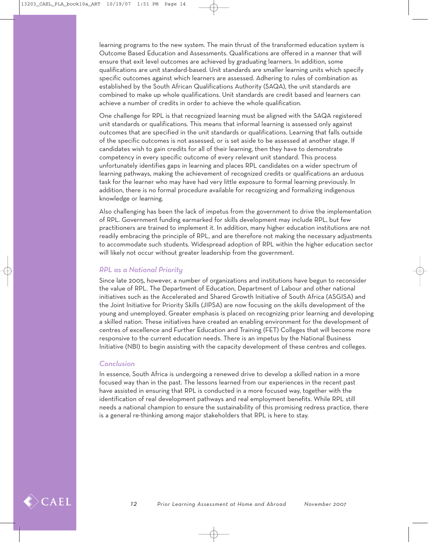learning programs to the new system. The main thrust of the transformed education system is Outcome Based Education and Assessments. Qualifications are offered in a manner that will ensure that exit level outcomes are achieved by graduating learners. In addition, some qualifications are unit standard-based. Unit standards are smaller learning units which specify specific outcomes against which learners are assessed. Adhering to rules of combination as established by the South African Qualifications Authority (SAQA), the unit standards are combined to make up whole qualifications. Unit standards are credit based and learners can achieve a number of credits in order to achieve the whole qualification.

One challenge for RPL is that recognized learning must be aligned with the SAQA registered unit standards or qualifications. This means that informal learning is assessed only against outcomes that are specified in the unit standards or qualifications. Learning that falls outside of the specific outcomes is not assessed, or is set aside to be assessed at another stage. If candidates wish to gain credits for all of their learning, then they have to demonstrate competency in every specific outcome of every relevant unit standard. This process unfortunately identifies gaps in learning and places RPL candidates on a wider spectrum of learning pathways, making the achievement of recognized credits or qualifications an arduous task for the learner who may have had very little exposure to formal learning previously. In addition, there is no formal procedure available for recognizing and formalizing indigenous knowledge or learning.

Also challenging has been the lack of impetus from the government to drive the implementation of RPL. Government funding earmarked for skills development may include RPL, but few practitioners are trained to implement it. In addition, many higher education institutions are not readily embracing the principle of RPL, and are therefore not making the necessary adjustments to accommodate such students. Widespread adoption of RPL within the higher education sector will likely not occur without greater leadership from the government.

#### *RPL as a National Priority*

Since late 2005, however, a number of organizations and institutions have begun to reconsider the value of RPL. The Department of Education, Department of Labour and other national initiatives such as the Accelerated and Shared Growth Initiative of South Africa (ASGISA) and the Joint Initiative for Priority Skills (JIPSA) are now focusing on the skills development of the young and unemployed. Greater emphasis is placed on recognizing prior learning and developing a skilled nation. These initiatives have created an enabling environment for the development of centres of excellence and Further Education and Training (FET) Colleges that will become more responsive to the current education needs. There is an impetus by the National Business Initiative (NBI) to begin assisting with the capacity development of these centres and colleges.

#### *Conclusion*

In essence, South Africa is undergoing a renewed drive to develop a skilled nation in a more focused way than in the past. The lessons learned from our experiences in the recent past have assisted in ensuring that RPL is conducted in a more focused way, together with the identification of real development pathways and real employment benefits. While RPL still needs a national champion to ensure the sustainability of this promising redress practice, there is a general re-thinking among major stakeholders that RPL is here to stay.

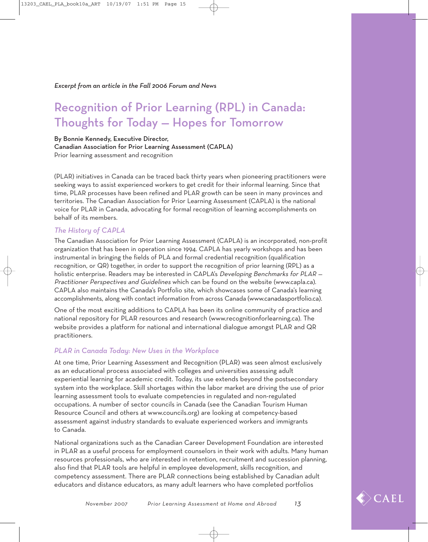## Recognition of Prior Learning (RPL) in Canada: Thoughts for Today — Hopes for Tomorrow

By Bonnie Kennedy, Executive Director,

Canadian Association for Prior Learning Assessment (CAPLA) Prior learning assessment and recognition

(PLAR) initiatives in Canada can be traced back thirty years when pioneering practitioners were seeking ways to assist experienced workers to get credit for their informal learning. Since that time, PLAR processes have been refined and PLAR growth can be seen in many provinces and territories. The Canadian Association for Prior Learning Assessment (CAPLA) is the national voice for PLAR in Canada, advocating for formal recognition of learning accomplishments on behalf of its members.

#### *The History of CAPLA*

The Canadian Association for Prior Learning Assessment (CAPLA) is an incorporated, non-profit organization that has been in operation since 1994. CAPLA has yearly workshops and has been instrumental in bringing the fields of PLA and formal credential recognition (qualification recognition, or QR) together, in order to support the recognition of prior learning (RPL) as a holistic enterprise. Readers may be interested in CAPLA's Developing Benchmarks for PLAR -Practitioner Perspectives and Guidelines which can be found on the website (www.capla.ca). CAPLA also maintains the Canada's Portfolio site, which showcases some of Canada's learning accomplishments, along with contact information from across Canada (www.canadasportfolio.ca).

One of the most exciting additions to CAPLA has been its online community of practice and national repository for PLAR resources and research (www.recognitionforlearning.ca). The website provides a platform for national and international dialogue amongst PLAR and QR practitioners.

#### *PLAR in Canada Today: New Uses in the Workplace*

At one time, Prior Learning Assessment and Recognition (PLAR) was seen almost exclusively as an educational process associated with colleges and universities assessing adult experiential learning for academic credit. Today, its use extends beyond the postsecondary system into the workplace. Skill shortages within the labor market are driving the use of prior learning assessment tools to evaluate competencies in regulated and non-regulated occupations. A number of sector councils in Canada (see the Canadian Tourism Human Resource Council and others at www.councils.org) are looking at competency-based assessment against industry standards to evaluate experienced workers and immigrants to Canada.

National organizations such as the Canadian Career Development Foundation are interested in PLAR as a useful process for employment counselors in their work with adults. Many human resources professionals, who are interested in retention, recruitment and succession planning, also find that PLAR tools are helpful in employee development, skills recognition, and competency assessment. There are PLAR connections being established by Canadian adult educators and distance educators, as many adult learners who have completed portfolios

 $\overline{\triangleright}$ CAEL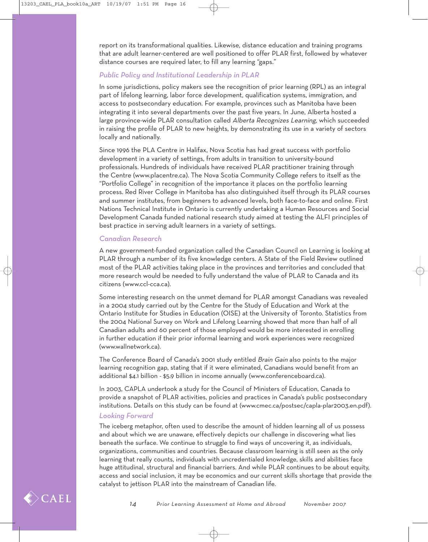report on its transformational qualities. Likewise, distance education and training programs that are adult learner-centered are well positioned to offer PLAR first, followed by whatever distance courses are required later, to fill any learning "gaps."

#### *Public Policy and Institutional Leadership in PLAR*

In some jurisdictions, policy makers see the recognition of prior learning (RPL) as an integral part of lifelong learning, labor force development, qualification systems, immigration, and access to postsecondary education. For example, provinces such as Manitoba have been integrating it into several departments over the past five years. In June, Alberta hosted a large province-wide PLAR consultation called Alberta Recognizes Learning, which succeeded in raising the profile of PLAR to new heights, by demonstrating its use in a variety of sectors locally and nationally.

Since 1996 the PLA Centre in Halifax, Nova Scotia has had great success with portfolio development in a variety of settings, from adults in transition to university-bound professionals. Hundreds of individuals have received PLAR practitioner training through the Centre (www.placentre.ca). The Nova Scotia Community College refers to itself as the "Portfolio College" in recognition of the importance it places on the portfolio learning process. Red River College in Manitoba has also distinguished itself through its PLAR courses and summer institutes, from beginners to advanced levels, both face-to-face and online. First Nations Technical Institute in Ontario is currently undertaking a Human Resources and Social Development Canada funded national research study aimed at testing the ALFI principles of best practice in serving adult learners in a variety of settings.

#### *Canadian Research*

A new government-funded organization called the Canadian Council on Learning is looking at PLAR through a number of its five knowledge centers. A State of the Field Review outlined most of the PLAR activities taking place in the provinces and territories and concluded that more research would be needed to fully understand the value of PLAR to Canada and its citizens (www.ccl-cca.ca).

Some interesting research on the unmet demand for PLAR amongst Canadians was revealed in a 2004 study carried out by the Centre for the Study of Education and Work at the Ontario Institute for Studies in Education (OISE) at the University of Toronto. Statistics from the 2004 National Survey on Work and Lifelong Learning showed that more than half of all Canadian adults and 60 percent of those employed would be more interested in enrolling in further education if their prior informal learning and work experiences were recognized (www.wallnetwork.ca).

The Conference Board of Canada's 2001 study entitled Brain Gain also points to the major learning recognition gap, stating that if it were eliminated, Canadians would benefit from an additional \$4.1 billion - \$5.9 billion in income annually (www.conferenceboard.ca).

In 2003, CAPLA undertook a study for the Council of Ministers of Education, Canada to provide a snapshot of PLAR activities, policies and practices in Canada's public postsecondary institutions. Details on this study can be found at (www.cmec.ca/postsec/capla-plar2003.en.pdf).

#### *Looking Forward*

The iceberg metaphor, often used to describe the amount of hidden learning all of us possess and about which we are unaware, effectively depicts our challenge in discovering what lies beneath the surface. We continue to struggle to find ways of uncovering it, as individuals, organizations, communities and countries. Because classroom learning is still seen as the only learning that really counts, individuals with uncredentialed knowledge, skills and abilities face huge attitudinal, structural and financial barriers. And while PLAR continues to be about equity, access and social inclusion, it may be economics and our current skills shortage that provide the catalyst to jettison PLAR into the mainstream of Canadian life.

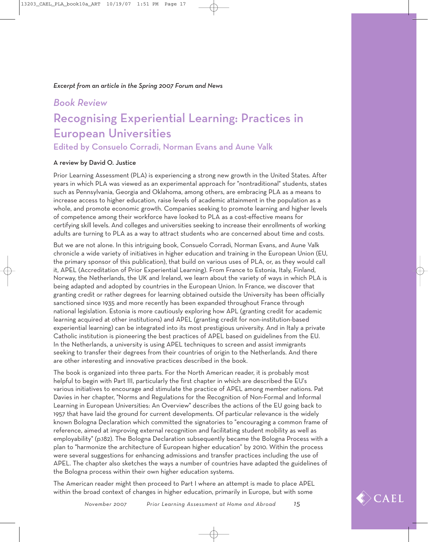#### *Excerpt from an article in the Spring 2007 Forum and News*

#### *Book Review*

## Recognising Experiential Learning: Practices in European Universities

### Edited by Consuelo Corradi, Norman Evans and Aune Valk

#### A review by David O. Justice

Prior Learning Assessment (PLA) is experiencing a strong new growth in the United States. After years in which PLA was viewed as an experimental approach for "nontraditional" students, states such as Pennsylvania, Georgia and Oklahoma, among others, are embracing PLA as a means to increase access to higher education, raise levels of academic attainment in the population as a whole, and promote economic growth. Companies seeking to promote learning and higher levels of competence among their workforce have looked to PLA as a cost-effective means for certifying skill levels. And colleges and universities seeking to increase their enrollments of working adults are turning to PLA as a way to attract students who are concerned about time and costs.

But we are not alone. In this intriguing book, Consuelo Corradi, Norman Evans, and Aune Valk chronicle a wide variety of initiatives in higher education and training in the European Union (EU, the primary sponsor of this publication), that build on various uses of PLA, or, as they would call it, APEL (Accreditation of Prior Experiential Learning). From France to Estonia, Italy, Finland, Norway, the Netherlands, the UK and Ireland, we learn about the variety of ways in which PLA is being adapted and adopted by countries in the European Union. In France, we discover that granting credit or rather degrees for learning obtained outside the University has been officially sanctioned since 1935 and more recently has been expanded throughout France through national legislation. Estonia is more cautiously exploring how APL (granting credit for academic learning acquired at other institutions) and APEL (granting credit for non-institution-based experiential learning) can be integrated into its most prestigious university. And in Italy a private Catholic institution is pioneering the best practices of APEL based on guidelines from the EU. In the Netherlands, a university is using APEL techniques to screen and assist immigrants seeking to transfer their degrees from their countries of origin to the Netherlands. And there are other interesting and innovative practices described in the book.

The book is organized into three parts. For the North American reader, it is probably most helpful to begin with Part III, particularly the first chapter in which are described the EU's various initiatives to encourage and stimulate the practice of APEL among member nations. Pat Davies in her chapter, "Norms and Regulations for the Recognition of Non-Formal and Informal Learning in European Universities: An Overview" describes the actions of the EU going back to 1957 that have laid the ground for current developments. Of particular relevance is the widely known Bologna Declaration which committed the signatories to "encouraging a common frame of reference, aimed at improving external recognition and facilitating student mobility as well as employability" (p.182). The Bologna Declaration subsequently became the Bologna Process with a plan to "harmonize the architecture of European higher education" by 2010. Within the process were several suggestions for enhancing admissions and transfer practices including the use of APEL. The chapter also sketches the ways a number of countries have adapted the guidelines of the Bologna process within their own higher education systems.

The American reader might then proceed to Part I where an attempt is made to place APEL within the broad context of changes in higher education, primarily in Europe, but with some

*November 2007 Prior Learning Assessment at Home and Abroad 15*

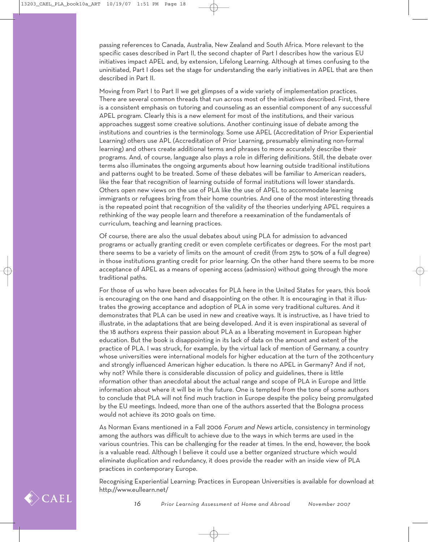passing references to Canada, Australia, New Zealand and South Africa. More relevant to the specific cases described in Part II, the second chapter of Part I describes how the various EU initiatives impact APEL and, by extension, Lifelong Learning. Although at times confusing to the uninitiated, Part I does set the stage for understanding the early initiatives in APEL that are then described in Part II.

Moving from Part I to Part II we get glimpses of a wide variety of implementation practices. There are several common threads that run across most of the initiatives described. First, there is a consistent emphasis on tutoring and counseling as an essential component of any successful APEL program. Clearly this is a new element for most of the institutions, and their various approaches suggest some creative solutions. Another continuing issue of debate among the institutions and countries is the terminology. Some use APEL (Accreditation of Prior Experiential Learning) others use APL (Accreditation of Prior Learning, presumably eliminating non-formal learning) and others create additional terms and phrases to more accurately describe their programs. And, of course, language also plays a role in differing definitions. Still, the debate over terms also illuminates the ongoing arguments about how learning outside traditional institutions and patterns ought to be treated. Some of these debates will be familiar to American readers, like the fear that recognition of learning outside of formal institutions will lower standards. Others open new views on the use of PLA like the use of APEL to accommodate learning immigrants or refugees bring from their home countries. And one of the most interesting threads is the repeated point that recognition of the validity of the theories underlying APEL requires a rethinking of the way people learn and therefore a reexamination of the fundamentals of curriculum, teaching and learning practices.

Of course, there are also the usual debates about using PLA for admission to advanced programs or actually granting credit or even complete certificates or degrees. For the most part there seems to be a variety of limits on the amount of credit (from 25% to 50% of a full degree) in those institutions granting credit for prior learning. On the other hand there seems to be more acceptance of APEL as a means of opening access (admission) without going through the more traditional paths.

For those of us who have been advocates for PLA here in the United States for years, this book is encouraging on the one hand and disappointing on the other. It is encouraging in that it illustrates the growing acceptance and adoption of PLA in some very traditional cultures. And it demonstrates that PLA can be used in new and creative ways. It is instructive, as I have tried to illustrate, in the adaptations that are being developed. And it is even inspirational as several of the 18 authors express their passion about PLA as a liberating movement in European higher education. But the book is disappointing in its lack of data on the amount and extent of the practice of PLA. I was struck, for example, by the virtual lack of mention of Germany, a country whose universities were international models for higher education at the turn of the 20thcentury and strongly influenced American higher education. Is there no APEL in Germany? And if not, why not? While there is considerable discussion of policy and guidelines, there is little nformation other than anecdotal about the actual range and scope of PLA in Europe and little information about where it will be in the future. One is tempted from the tone of some authors to conclude that PLA will not find much traction in Europe despite the policy being promulgated by the EU meetings. Indeed, more than one of the authors asserted that the Bologna process would not achieve its 2010 goals on time.

As Norman Evans mentioned in a Fall 2006 Forum and News article, consistency in terminology among the authors was difficult to achieve due to the ways in which terms are used in the various countries. This can be challenging for the reader at times. In the end, however, the book is a valuable read. Although I believe it could use a better organized structure which would eliminate duplication and redundancy, it does provide the reader with an inside view of PLA practices in contemporary Europe.

Recognising Experiential Learning: Practices in European Universities is available for download at http://www.eullearn.net/

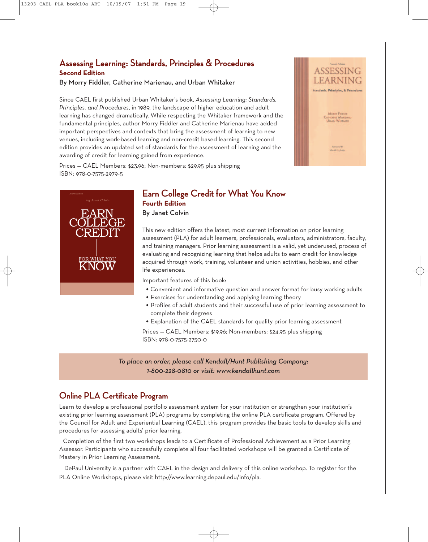### **Assessing Learning: Standards, Principles & Procedures Second Edition**

By Morry Fiddler, Catherine Marienau, and Urban Whitaker

Since CAEL first published Urban Whitaker's book, *Assessing Learning: Standards, Principles, and Procedures*, in 1989, the landscape of higher education and adult learning has changed dramatically. While respecting the Whitaker framework and the fundamental principles, author Morry Fiddler and Catherine Marienau have added important perspectives and contexts that bring the assessment of learning to new venues, including work-based learning and non-credit based learning. This second edition provides an updated set of standards for the assessment of learning and the awarding of credit for learning gained from experience.

Prices — CAEL Members: \$23.96; Non-members: \$29.95 plus shipping ISBN: 978-0-7575-2979-5



### **Earn College Credit for What You Know Fourth Edition**

By Janet Colvin

This new edition offers the latest, most current information on prior learning assessment (PLA) for adult learners, professionals, evaluators, administrators, faculty, and training managers. Prior learning assessment is a valid, yet underused, process of evaluating and recognizing learning that helps adults to earn credit for knowledge acquired through work, training, volunteer and union activities, hobbies, and other life experiences.

Important features of this book:

- Convenient and informative question and answer format for busy working adults
- \* Exercises for understanding and applying learning theory
- \* Profiles of adult students and their successful use of prior learning assessment to complete their degrees
- Explanation of the CAEL standards for quality prior learning assessment

Prices — CAEL Members: \$19.96; Non-members: \$24.95 plus shipping ISBN: 978-0-7575-2750-0

*To place an order, please call Kendall/Hunt Publishing Company: 1-800-228-0810 or visit: www.kendallhunt.com*

#### **Online PLA Certificate Program**

Learn to develop a professional portfolio assessment system for your institution or strengthen your institution's existing prior learning assessment (PLA) programs by completing the online PLA certificate program. Offered by the Council for Adult and Experiential Learning (CAEL), this program provides the basic tools to develop skills and procedures for assessing adults' prior learning.

Completion of the first two workshops leads to a Certificate of Professional Achievement as a Prior Learning Assessor. Participants who successfully complete all four facilitated workshops will be granted a Certificate of Mastery in Prior Learning Assessment.

DePaul University is a partner with CAEL in the design and delivery of this online workshop. To register for the PLA Online Workshops, please visit http://www.learning.depaul.edu/info/pla.